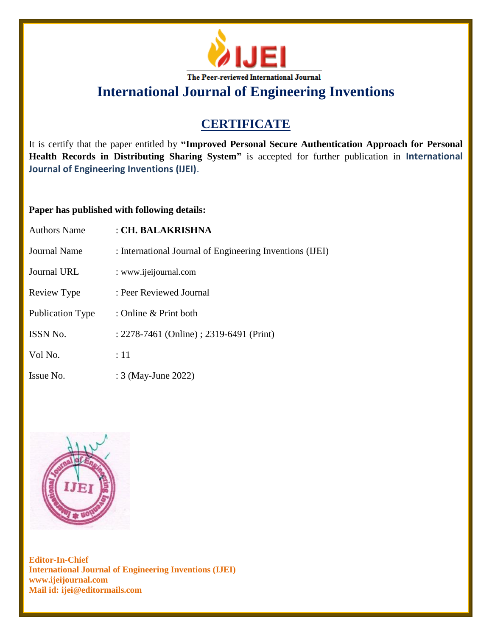

# **CERTIFICATE**

It is certify that the paper entitled by **"Improved Personal Secure Authentication Approach for Personal Health Records in Distributing Sharing System"** is accepted for further publication in **International Journal of Engineering Inventions (IJEI)**.

### **Paper has published with following details:**

| <b>Authors Name</b>     | : CH. BALAKRISHNA                                        |
|-------------------------|----------------------------------------------------------|
| <b>Journal Name</b>     | : International Journal of Engineering Inventions (IJEI) |
| <b>Journal URL</b>      | : www.ijeijournal.com                                    |
| Review Type             | : Peer Reviewed Journal                                  |
| <b>Publication Type</b> | : Online $&$ Print both                                  |
| ISSN No.                | : 2278-7461 (Online) ; 2319-6491 (Print)                 |
| Vol No.                 | :11                                                      |
| Issue No.               | : 3 (May-June 2022)                                      |

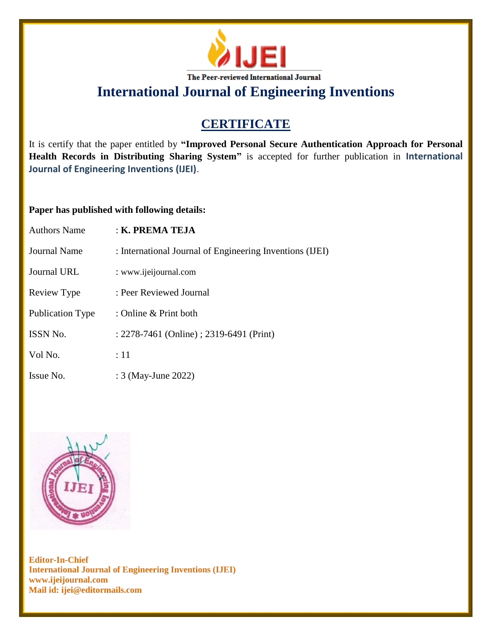

# **CERTIFICATE**

It is certify that the paper entitled by **"Improved Personal Secure Authentication Approach for Personal Health Records in Distributing Sharing System"** is accepted for further publication in **International Journal of Engineering Inventions (IJEI)**.

### **Paper has published with following details:**

| <b>Authors Name</b> | : K. PREMA TEJA                                          |
|---------------------|----------------------------------------------------------|
| Journal Name        | : International Journal of Engineering Inventions (IJEI) |
| Journal URL         | : www.ijeijournal.com                                    |
| Review Type         | : Peer Reviewed Journal                                  |
| Publication Type    | : Online $&$ Print both                                  |
| ISSN No.            | : 2278-7461 (Online) ; 2319-6491 (Print)                 |
| Vol No.             | :11                                                      |
| Issue No.           | : 3 (May-June 2022)                                      |

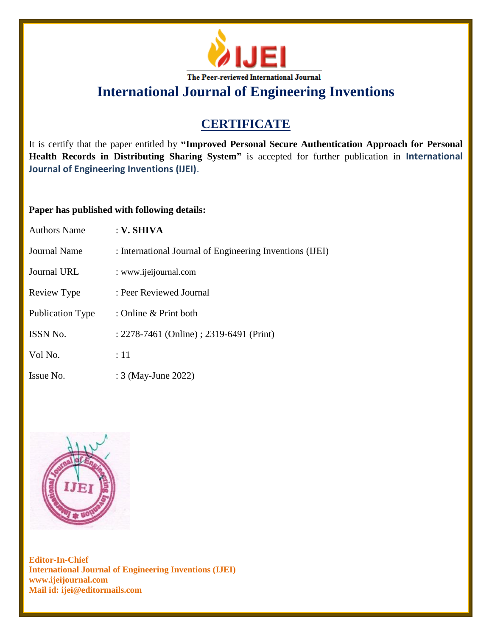

# **CERTIFICATE**

It is certify that the paper entitled by **"Improved Personal Secure Authentication Approach for Personal Health Records in Distributing Sharing System"** is accepted for further publication in **International Journal of Engineering Inventions (IJEI)**.

### **Paper has published with following details:**

| <b>Authors Name</b>     | : V. SHIVA                                               |
|-------------------------|----------------------------------------------------------|
| Journal Name            | : International Journal of Engineering Inventions (IJEI) |
| <b>Journal URL</b>      | : www.ijeijournal.com                                    |
| Review Type             | : Peer Reviewed Journal                                  |
| <b>Publication Type</b> | : Online & Print both                                    |
| <b>ISSN No.</b>         | : 2278-7461 (Online) ; 2319-6491 (Print)                 |
| Vol No.                 | :11                                                      |
| Issue No.               | : 3 (May-June 2022)                                      |

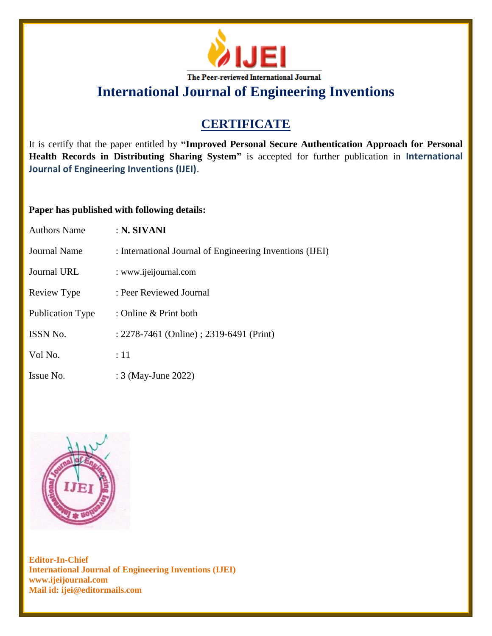

# **CERTIFICATE**

It is certify that the paper entitled by **"Improved Personal Secure Authentication Approach for Personal Health Records in Distributing Sharing System"** is accepted for further publication in **International Journal of Engineering Inventions (IJEI)**.

### **Paper has published with following details:**

| <b>Authors Name</b>     | : N. SIVANI                                              |
|-------------------------|----------------------------------------------------------|
| Journal Name            | : International Journal of Engineering Inventions (IJEI) |
| Journal URL             | : www.ijeijournal.com                                    |
| Review Type             | : Peer Reviewed Journal                                  |
| <b>Publication Type</b> | : Online $&$ Print both                                  |
| <b>ISSN No.</b>         | : 2278-7461 (Online) ; 2319-6491 (Print)                 |
| Vol No.                 | :11                                                      |
| Issue No.               | : 3 (May-June 2022)                                      |